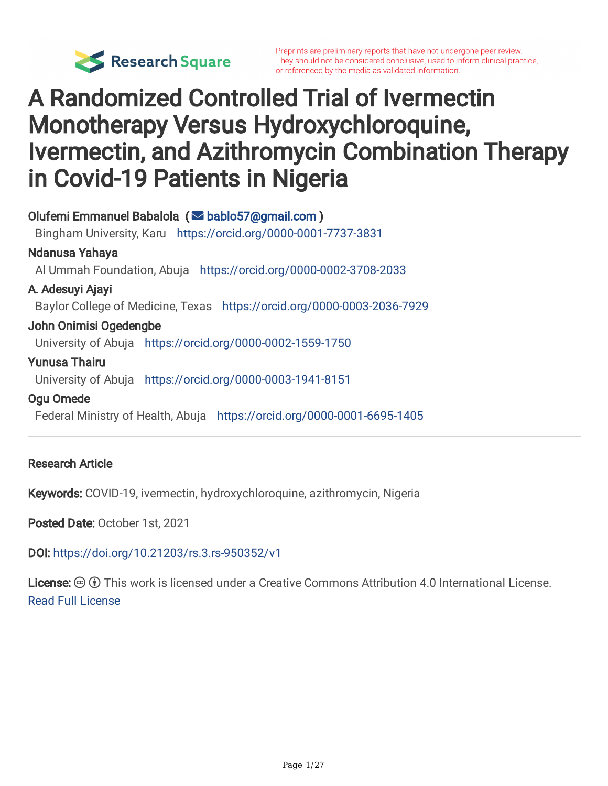

Preprints are preliminary reports that have not undergone peer review. They should not be considered conclusive, used to inform clinical practice, or referenced by the media as validated information.

# A Randomized Controlled Trial of Ivermectin Monotherapy Versus Hydroxychloroquine, Ivermectin, and Azithromycin Combination Therapy in Covid-19 Patients in Nigeria

Olufemi Emmanuel Babalola ( [bablo57@gmail.com](mailto:bablo57@gmail.com) ) Bingham University, Karu <https://orcid.org/0000-0001-7737-3831> Ndanusa Yahaya Al Ummah Foundation, Abuja <https://orcid.org/0000-0002-3708-2033> A. Adesuyi Ajayi Baylor College of Medicine, Texas <https://orcid.org/0000-0003-2036-7929> John Onimisi Ogedengbe University of Abuja <https://orcid.org/0000-0002-1559-1750> Yunusa Thairu University of Abuja <https://orcid.org/0000-0003-1941-8151> Ogu Omede

Federal Ministry of Health, Abuja <https://orcid.org/0000-0001-6695-1405>

#### Research Article

Keywords: COVID-19, ivermectin, hydroxychloroquine, azithromycin, Nigeria

Posted Date: October 1st, 2021

DOI: <https://doi.org/10.21203/rs.3.rs-950352/v1>

**License:**  $\circledcirc$   $\circledcirc$  This work is licensed under a Creative Commons Attribution 4.0 International License. Read Full [License](https://creativecommons.org/licenses/by/4.0/)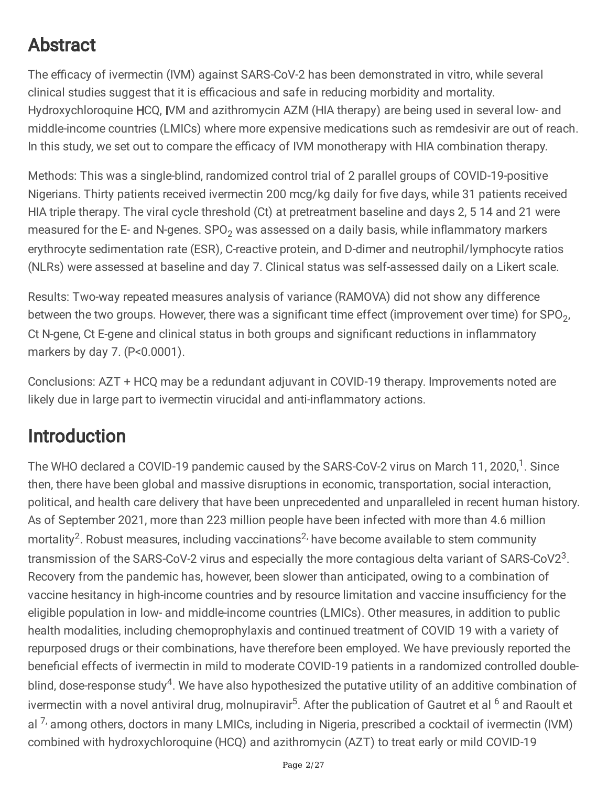## Abstract

The efficacy of ivermectin (IVM) against SARS-CoV-2 has been demonstrated in vitro, while several clinical studies suggest that it is efficacious and safe in reducing morbidity and mortality. Hydroxychloroquine HCQ, IVM and azithromycin AZM (HIA therapy) are being used in several low- and middle-income countries (LMICs) where more expensive medications such as remdesivir are out of reach. In this study, we set out to compare the efficacy of IVM monotherapy with HIA combination therapy.

Methods: This was a single-blind, randomized control trial of 2 parallel groups of COVID-19-positive Nigerians. Thirty patients received ivermectin 200 mcg/kg daily for five days, while 31 patients received HIA triple therapy. The viral cycle threshold (Ct) at pretreatment baseline and days 2, 5 14 and 21 were measured for the E- and N-genes.  $SPO<sub>2</sub>$  was assessed on a daily basis, while inflammatory markers erythrocyte sedimentation rate (ESR), C-reactive protein, and D-dimer and neutrophil/lymphocyte ratios (NLRs) were assessed at baseline and day 7. Clinical status was self-assessed daily on a Likert scale.

Results: Two-way repeated measures analysis of variance (RAMOVA) did not show any difference between the two groups. However, there was a significant time effect (improvement over time) for SPO<sub>2</sub>, Ct N-gene, Ct E-gene and clinical status in both groups and significant reductions in inflammatory markers by day 7. (P<0.0001).

Conclusions: AZT + HCQ may be a redundant adjuvant in COVID-19 therapy. Improvements noted are likely due in large part to ivermectin virucidal and anti-inflammatory actions.

## Introduction

The WHO declared a COVID-19 pandemic caused by the SARS-CoV-2 virus on March 11, 2020,<sup>1</sup>. Since then, there have been global and massive disruptions in economic, transportation, social interaction, political, and health care delivery that have been unprecedented and unparalleled in recent human history. As of September 2021, more than 223 million people have been infected with more than 4.6 million mortality<sup>2</sup>. Robust measures, including vaccinations<sup>2,</sup> have become available to stem community transmission of the SARS-CoV-2 virus and especially the more contagious delta variant of SARS-CoV2<sup>3</sup>. Recovery from the pandemic has, however, been slower than anticipated, owing to a combination of vaccine hesitancy in high-income countries and by resource limitation and vaccine insufficiency for the eligible population in low- and middle-income countries (LMICs). Other measures, in addition to public health modalities, including chemoprophylaxis and continued treatment of COVID 19 with a variety of repurposed drugs or their combinations, have therefore been employed. We have previously reported the beneficial effects of ivermectin in mild to moderate COVID-19 patients in a randomized controlled doubleblind, dose-response study<sup>4</sup>. We have also hypothesized the putative utility of an additive combination of ivermectin with a novel antiviral drug, molnupiravir<sup>5</sup>. After the publication of Gautret et al <sup>6</sup> and Raoult et al <sup>7,</sup> among others, doctors in many LMICs, including in Nigeria, prescribed a cocktail of ivermectin (IVM) combined with hydroxychloroquine (HCQ) and azithromycin (AZT) to treat early or mild COVID-19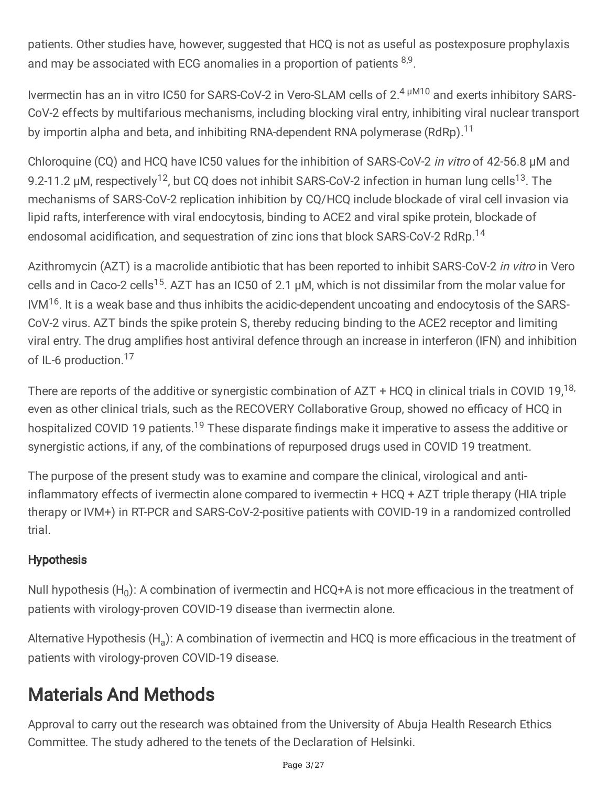patients. Other studies have, however, suggested that HCQ is not as useful as postexposure prophylaxis and may be associated with ECG anomalies in a proportion of patients  $8,9$ .

Ivermectin has an in vitro IC50 for SARS-CoV-2 in Vero-SLAM cells of 2.<sup>4 µM10</sup> and exerts inhibitory SARS-CoV-2 effects by multifarious mechanisms, including blocking viral entry, inhibiting viral nuclear transport by importin alpha and beta, and inhibiting RNA-dependent RNA polymerase (RdRp).<sup>11</sup>

Chloroquine (CQ) and HCQ have IC50 values for the inhibition of SARS-CoV-2 in vitro of 42-56.8 µM and 9.2-11.2 µM, respectively<sup>12</sup>, but CQ does not inhibit SARS-CoV-2 infection in human lung cells<sup>13</sup>. The mechanisms of SARS-CoV-2 replication inhibition by CQ/HCQ include blockade of viral cell invasion via lipid rafts, interference with viral endocytosis, binding to ACE2 and viral spike protein, blockade of endosomal acidification, and sequestration of zinc ions that block SARS-CoV-2 RdRp.<sup>14</sup>

Azithromycin (AZT) is a macrolide antibiotic that has been reported to inhibit SARS-CoV-2 in vitro in Vero cells and in Caco-2 cells<sup>15</sup>. AZT has an IC50 of 2.1  $\mu$ M, which is not dissimilar from the molar value for IVM<sup>16</sup>. It is a weak base and thus inhibits the acidic-dependent uncoating and endocytosis of the SARS-CoV-2 virus. AZT binds the spike protein S, thereby reducing binding to the ACE2 receptor and limiting viral entry. The drug amplifies host antiviral defence through an increase in interferon (IFN) and inhibition of IL-6 production.<sup>17</sup>

There are reports of the additive or synergistic combination of AZT + HCQ in clinical trials in COVID 19,<sup>18,</sup> even as other clinical trials, such as the RECOVERY Collaborative Group, showed no efficacy of HCQ in hospitalized COVID 19 patients.<sup>19</sup> These disparate findings make it imperative to assess the additive or synergistic actions, if any, of the combinations of repurposed drugs used in COVID 19 treatment.

The purpose of the present study was to examine and compare the clinical, virological and antiinflammatory effects of ivermectin alone compared to ivermectin + HCQ + AZT triple therapy (HIA triple therapy or IVM+) in RT-PCR and SARS-CoV-2-positive patients with COVID-19 in a randomized controlled trial.

#### **Hypothesis**

Null hypothesis (H<sub>0</sub>): A combination of ivermectin and HCQ+A is not more efficacious in the treatment of patients with virology-proven COVID-19 disease than ivermectin alone.

Alternative Hypothesis (H<sub>a</sub>): A combination of ivermectin and HCQ is more efficacious in the treatment of patients with virology-proven COVID-19 disease.

## Materials And Methods

Approval to carry out the research was obtained from the University of Abuja Health Research Ethics Committee. The study adhered to the tenets of the Declaration of Helsinki.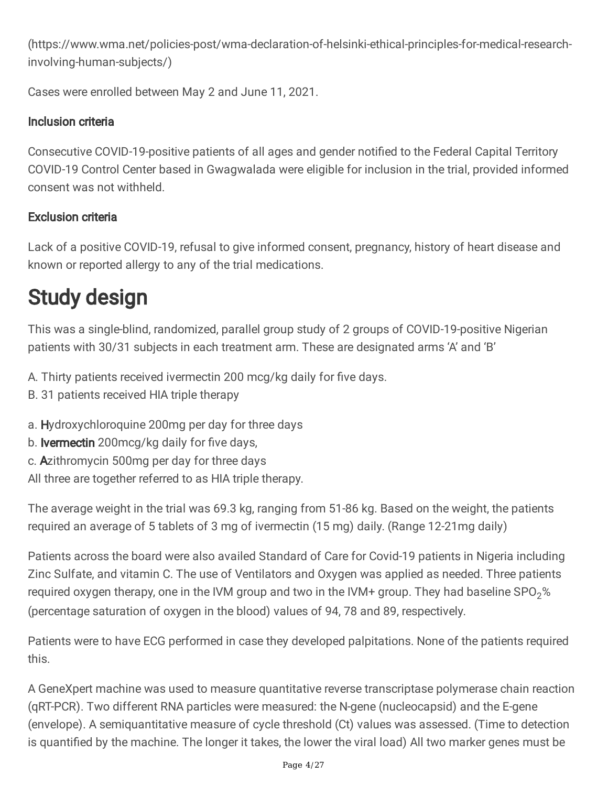(https://www.wma.net/policies-post/wma-declaration-of-helsinki-ethical-principles-for-medical-researchinvolving-human-subjects/)

Cases were enrolled between May 2 and June 11, 2021.

### Inclusion criteria

Consecutive COVID-19-positive patients of all ages and gender notified to the Federal Capital Territory COVID-19 Control Center based in Gwagwalada were eligible for inclusion in the trial, provided informed consent was not withheld.

### Exclusion criteria

Lack of a positive COVID-19, refusal to give informed consent, pregnancy, history of heart disease and known or reported allergy to any of the trial medications.

# Study design

This was a single-blind, randomized, parallel group study of 2 groups of COVID-19-positive Nigerian patients with 30/31 subjects in each treatment arm. These are designated arms 'A' and 'B'

- A. Thirty patients received ivermectin 200 mcg/kg daily for five days.
- B. 31 patients received HIA triple therapy
- a. Hydroxychloroquine 200mg per day for three days
- b. **Ivermectin** 200mcg/kg daily for five days,
- c. Azithromycin 500mg per day for three days

All three are together referred to as HIA triple therapy.

The average weight in the trial was 69.3 kg, ranging from 51-86 kg. Based on the weight, the patients required an average of 5 tablets of 3 mg of ivermectin (15 mg) daily. (Range 12-21mg daily)

Patients across the board were also availed Standard of Care for Covid-19 patients in Nigeria including Zinc Sulfate, and vitamin C. The use of Ventilators and Oxygen was applied as needed. Three patients required oxygen therapy, one in the IVM group and two in the IVM+ group. They had baseline  $SPO<sub>2</sub>%$ (percentage saturation of oxygen in the blood) values of 94, 78 and 89, respectively.

Patients were to have ECG performed in case they developed palpitations. None of the patients required this.

A GeneXpert machine was used to measure quantitative reverse transcriptase polymerase chain reaction (qRT-PCR). Two different RNA particles were measured: the N-gene (nucleocapsid) and the E-gene (envelope). A semiquantitative measure of cycle threshold (Ct) values was assessed. (Time to detection is quantified by the machine. The longer it takes, the lower the viral load) All two marker genes must be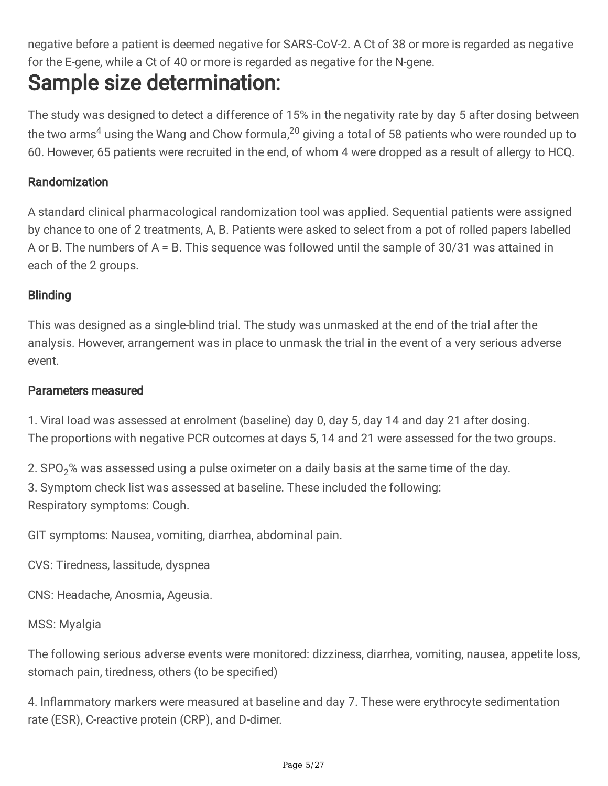negative before a patient is deemed negative for SARS-CoV-2. A Ct of 38 or more is regarded as negative for the E-gene, while a Ct of 40 or more is regarded as negative for the N-gene.

# Sample size determination:

The study was designed to detect a difference of 15% in the negativity rate by day 5 after dosing between the two arms<sup>4</sup> using the Wang and Chow formula,<sup>20</sup> giving a total of 58 patients who were rounded up to 60. However, 65 patients were recruited in the end, of whom 4 were dropped as a result of allergy to HCQ.

#### Randomization

A standard clinical pharmacological randomization tool was applied. Sequential patients were assigned by chance to one of 2 treatments, A, B. Patients were asked to select from a pot of rolled papers labelled A or B. The numbers of A = B. This sequence was followed until the sample of 30/31 was attained in each of the 2 groups.

#### **Blinding**

This was designed as a single-blind trial. The study was unmasked at the end of the trial after the analysis. However, arrangement was in place to unmask the trial in the event of a very serious adverse event.

#### Parameters measured

1. Viral load was assessed at enrolment (baseline) day 0, day 5, day 14 and day 21 after dosing. The proportions with negative PCR outcomes at days 5, 14 and 21 were assessed for the two groups.

2.  $SPO<sub>2</sub>$ % was assessed using a pulse oximeter on a daily basis at the same time of the day. 3. Symptom check list was assessed at baseline. These included the following: Respiratory symptoms: Cough.

GIT symptoms: Nausea, vomiting, diarrhea, abdominal pain.

CVS: Tiredness, lassitude, dyspnea

CNS: Headache, Anosmia, Ageusia.

MSS: Myalgia

The following serious adverse events were monitored: dizziness, diarrhea, vomiting, nausea, appetite loss, stomach pain, tiredness, others (to be specified)

4. Inflammatory markers were measured at baseline and day 7. These were erythrocyte sedimentation rate (ESR), C-reactive protein (CRP), and D-dimer.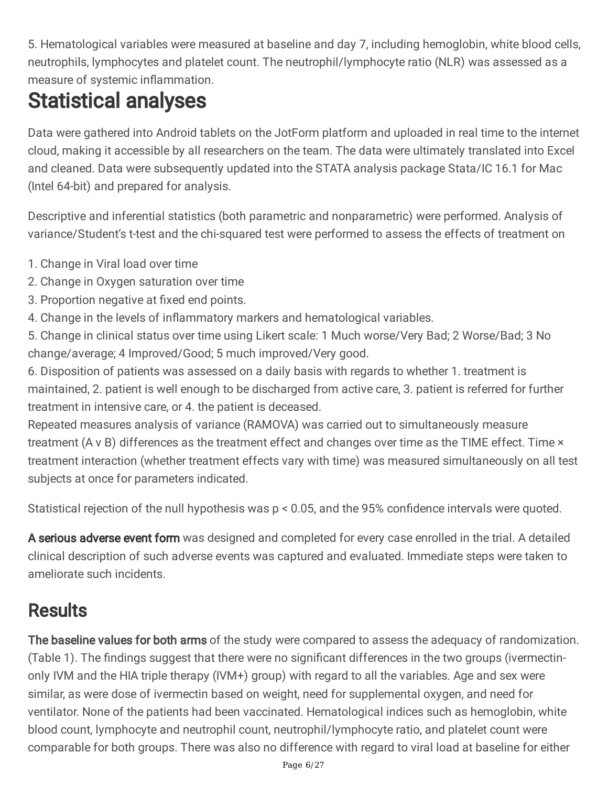5. Hematological variables were measured at baseline and day 7, including hemoglobin, white blood cells, neutrophils, lymphocytes and platelet count. The neutrophil/lymphocyte ratio (NLR) was assessed as a measure of systemic inflammation.

# Statistical analyses

Data were gathered into Android tablets on the JotForm platform and uploaded in real time to the internet cloud, making it accessible by all researchers on the team. The data were ultimately translated into Excel and cleaned. Data were subsequently updated into the STATA analysis package Stata/IC 16.1 for Mac (Intel 64-bit) and prepared for analysis.

Descriptive and inferential statistics (both parametric and nonparametric) were performed. Analysis of variance/Student's t-test and the chi-squared test were performed to assess the effects of treatment on

- 1. Change in Viral load over time
- 2. Change in Oxygen saturation over time
- 3. Proportion negative at fixed end points.
- 4. Change in the levels of inflammatory markers and hematological variables.
- 5. Change in clinical status over time using Likert scale: 1 Much worse/Very Bad; 2 Worse/Bad; 3 No change/average; 4 Improved/Good; 5 much improved/Very good.

6. Disposition of patients was assessed on a daily basis with regards to whether 1. treatment is maintained, 2. patient is well enough to be discharged from active care, 3. patient is referred for further treatment in intensive care, or 4. the patient is deceased.

Repeated measures analysis of variance (RAMOVA) was carried out to simultaneously measure treatment (A v B) differences as the treatment effect and changes over time as the TIME effect. Time × treatment interaction (whether treatment effects vary with time) was measured simultaneously on all test subjects at once for parameters indicated.

Statistical rejection of the null hypothesis was p < 0.05, and the 95% confidence intervals were quoted.

A serious adverse event form was designed and completed for every case enrolled in the trial. A detailed clinical description of such adverse events was captured and evaluated. Immediate steps were taken to ameliorate such incidents.

# **Results**

The baseline values for both arms of the study were compared to assess the adequacy of randomization. (Table 1). The findings suggest that there were no significant differences in the two groups (ivermectinonly IVM and the HIA triple therapy (IVM+) group) with regard to all the variables. Age and sex were similar, as were dose of ivermectin based on weight, need for supplemental oxygen, and need for ventilator. None of the patients had been vaccinated. Hematological indices such as hemoglobin, white blood count, lymphocyte and neutrophil count, neutrophil/lymphocyte ratio, and platelet count were comparable for both groups. There was also no difference with regard to viral load at baseline for either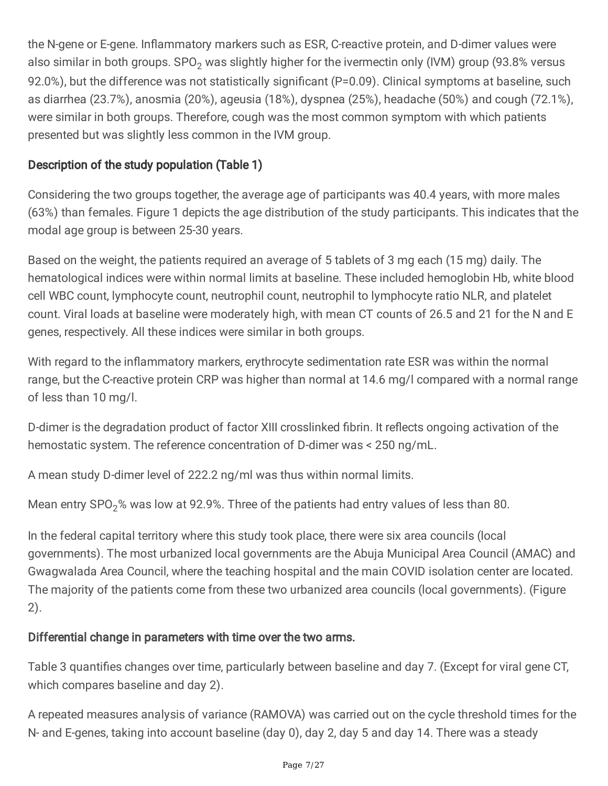the N-gene or E-gene. Inflammatory markers such as ESR, C-reactive protein, and D-dimer values were also similar in both groups. SPO<sub>2</sub> was slightly higher for the ivermectin only (IVM) group (93.8% versus 92.0%), but the difference was not statistically significant (P=0.09). Clinical symptoms at baseline, such as diarrhea (23.7%), anosmia (20%), ageusia (18%), dyspnea (25%), headache (50%) and cough (72.1%), were similar in both groups. Therefore, cough was the most common symptom with which patients presented but was slightly less common in the IVM group.

#### Description of the study population (Table 1)

Considering the two groups together, the average age of participants was 40.4 years, with more males (63%) than females. Figure 1 depicts the age distribution of the study participants. This indicates that the modal age group is between 25-30 years.

Based on the weight, the patients required an average of 5 tablets of 3 mg each (15 mg) daily. The hematological indices were within normal limits at baseline. These included hemoglobin Hb, white blood cell WBC count, lymphocyte count, neutrophil count, neutrophil to lymphocyte ratio NLR, and platelet count. Viral loads at baseline were moderately high, with mean CT counts of 26.5 and 21 for the N and E genes, respectively. All these indices were similar in both groups.

With regard to the inflammatory markers, erythrocyte sedimentation rate ESR was within the normal range, but the C-reactive protein CRP was higher than normal at 14.6 mg/l compared with a normal range of less than 10 mg/l.

D-dimer is the degradation product of factor XIII crosslinked fibrin. It reflects ongoing activation of the hemostatic system. The reference concentration of D-dimer was < 250 ng/mL.

A mean study D-dimer level of 222.2 ng/ml was thus within normal limits.

Mean entry SPO<sub>2</sub>% was low at 92.9%. Three of the patients had entry values of less than 80.

In the federal capital territory where this study took place, there were six area councils (local governments). The most urbanized local governments are the Abuja Municipal Area Council (AMAC) and Gwagwalada Area Council, where the teaching hospital and the main COVID isolation center are located. The majority of the patients come from these two urbanized area councils (local governments). (Figure 2).

#### Differential change in parameters with time over the two arms.

Table 3 quantifies changes over time, particularly between baseline and day 7. (Except for viral gene CT, which compares baseline and day 2).

A repeated measures analysis of variance (RAMOVA) was carried out on the cycle threshold times for the N- and E-genes, taking into account baseline (day 0), day 2, day 5 and day 14. There was a steady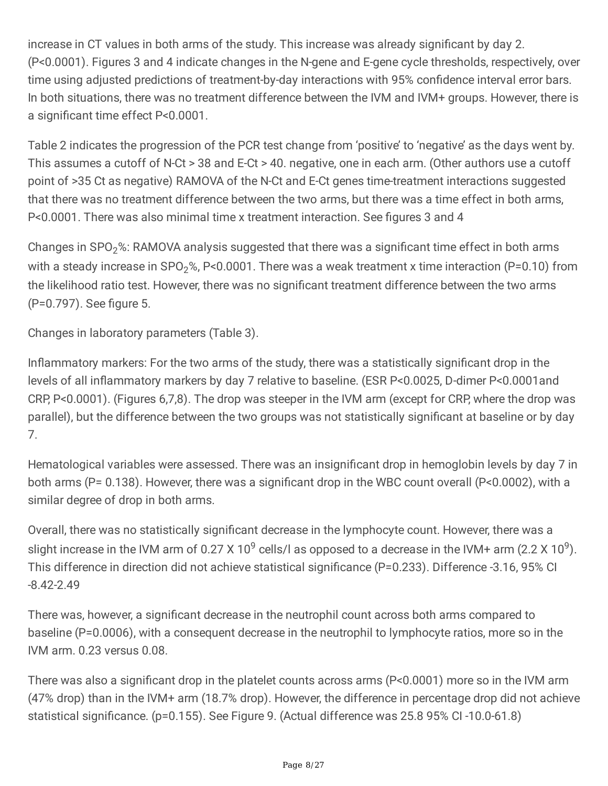increase in CT values in both arms of the study. This increase was already significant by day 2. (P<0.0001). Figures 3 and 4 indicate changes in the N-gene and E-gene cycle thresholds, respectively, over time using adjusted predictions of treatment-by-day interactions with 95% confidence interval error bars. In both situations, there was no treatment difference between the IVM and IVM+ groups. However, there is a significant time effect P<0.0001.

Table 2 indicates the progression of the PCR test change from 'positive' to 'negative' as the days went by. This assumes a cutoff of N-Ct > 38 and E-Ct > 40. negative, one in each arm. (Other authors use a cutoff point of >35 Ct as negative) RAMOVA of the N-Ct and E-Ct genes time-treatment interactions suggested that there was no treatment difference between the two arms, but there was a time effect in both arms, P<0.0001. There was also minimal time x treatment interaction. See figures 3 and 4

Changes in SPO<sub>2</sub>%: RAMOVA analysis suggested that there was a significant time effect in both arms with a steady increase in SPO<sub>2</sub>%, P<0.0001. There was a weak treatment x time interaction (P=0.10) from the likelihood ratio test. However, there was no significant treatment difference between the two arms (P=0.797). See figure 5.

Changes in laboratory parameters (Table 3).

Inflammatory markers: For the two arms of the study, there was a statistically significant drop in the levels of all inflammatory markers by day 7 relative to baseline. (ESR P<0.0025, D-dimer P<0.0001and CRP, P<0.0001). (Figures 6,7,8). The drop was steeper in the IVM arm (except for CRP, where the drop was parallel), but the difference between the two groups was not statistically significant at baseline or by day 7.

Hematological variables were assessed. There was an insignificant drop in hemoglobin levels by day 7 in both arms (P= 0.138). However, there was a significant drop in the WBC count overall (P<0.0002), with a similar degree of drop in both arms.

Overall, there was no statistically significant decrease in the lymphocyte count. However, there was a slight increase in the IVM arm of 0.27 X 10<sup>9</sup> cells/l as opposed to a decrease in the IVM+ arm (2.2 X 10<sup>9</sup>). This difference in direction did not achieve statistical significance (P=0.233). Difference -3.16, 95% CI -8.42-2.49

There was, however, a significant decrease in the neutrophil count across both arms compared to baseline (P=0.0006), with a consequent decrease in the neutrophil to lymphocyte ratios, more so in the IVM arm. 0.23 versus 0.08.

There was also a significant drop in the platelet counts across arms (P<0.0001) more so in the IVM arm (47% drop) than in the IVM+ arm (18.7% drop). However, the difference in percentage drop did not achieve statistical significance. (p=0.155). See Figure 9. (Actual difference was 25.8 95% CI -10.0-61.8)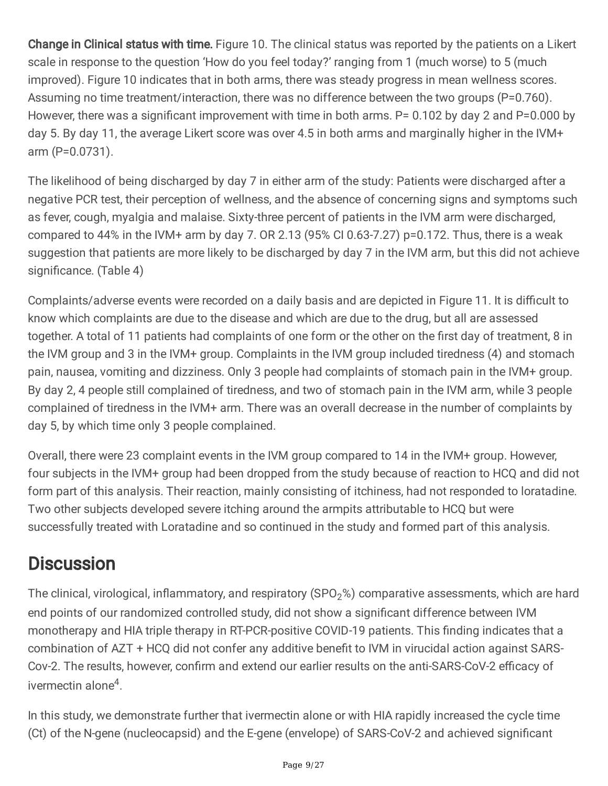Change in Clinical status with time. Figure 10. The clinical status was reported by the patients on a Likert scale in response to the question 'How do you feel today?' ranging from 1 (much worse) to 5 (much improved). Figure 10 indicates that in both arms, there was steady progress in mean wellness scores. Assuming no time treatment/interaction, there was no difference between the two groups (P=0.760). However, there was a significant improvement with time in both arms. P= 0.102 by day 2 and P=0.000 by day 5. By day 11, the average Likert score was over 4.5 in both arms and marginally higher in the IVM+ arm (P=0.0731).

The likelihood of being discharged by day 7 in either arm of the study: Patients were discharged after a negative PCR test, their perception of wellness, and the absence of concerning signs and symptoms such as fever, cough, myalgia and malaise. Sixty-three percent of patients in the IVM arm were discharged, compared to 44% in the IVM+ arm by day 7. OR 2.13 (95% CI 0.63-7.27) p=0.172. Thus, there is a weak suggestion that patients are more likely to be discharged by day 7 in the IVM arm, but this did not achieve significance. (Table 4)

Complaints/adverse events were recorded on a daily basis and are depicted in Figure 11. It is difficult to know which complaints are due to the disease and which are due to the drug, but all are assessed together. A total of 11 patients had complaints of one form or the other on the first day of treatment, 8 in the IVM group and 3 in the IVM+ group. Complaints in the IVM group included tiredness (4) and stomach pain, nausea, vomiting and dizziness. Only 3 people had complaints of stomach pain in the IVM+ group. By day 2, 4 people still complained of tiredness, and two of stomach pain in the IVM arm, while 3 people complained of tiredness in the IVM+ arm. There was an overall decrease in the number of complaints by day 5, by which time only 3 people complained.

Overall, there were 23 complaint events in the IVM group compared to 14 in the IVM+ group. However, four subjects in the IVM+ group had been dropped from the study because of reaction to HCQ and did not form part of this analysis. Their reaction, mainly consisting of itchiness, had not responded to loratadine. Two other subjects developed severe itching around the armpits attributable to HCQ but were successfully treated with Loratadine and so continued in the study and formed part of this analysis.

### **Discussion**

The clinical, virological, inflammatory, and respiratory (SPO<sub>2</sub>%) comparative assessments, which are hard end points of our randomized controlled study, did not show a significant difference between IVM monotherapy and HIA triple therapy in RT-PCR-positive COVID-19 patients. This finding indicates that a combination of AZT + HCQ did not confer any additive benefit to IVM in virucidal action against SARS-Cov-2. The results, however, confirm and extend our earlier results on the anti-SARS-CoV-2 efficacy of ivermectin alone<sup>4</sup>.

In this study, we demonstrate further that ivermectin alone or with HIA rapidly increased the cycle time (Ct) of the N-gene (nucleocapsid) and the E-gene (envelope) of SARS-CoV-2 and achieved significant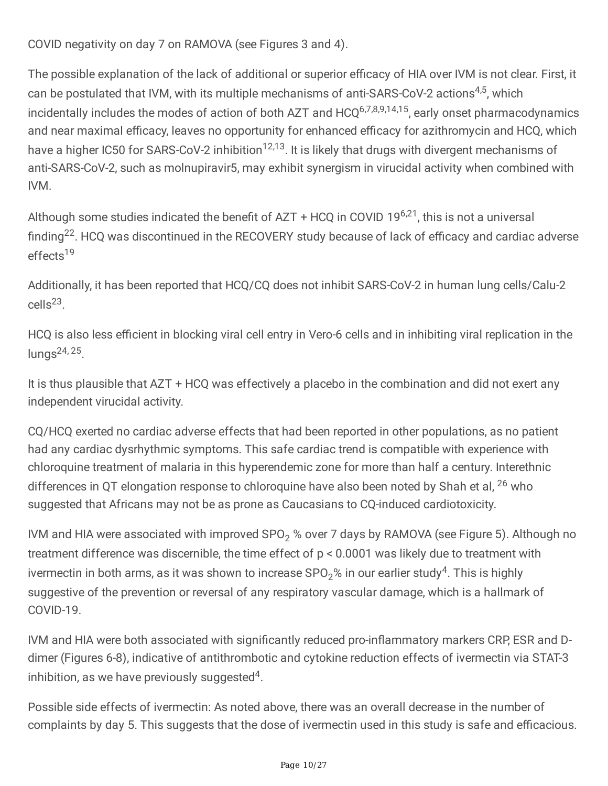COVID negativity on day 7 on RAMOVA (see Figures 3 and 4).

The possible explanation of the lack of additional or superior efficacy of HIA over IVM is not clear. First, it can be postulated that IVM, with its multiple mechanisms of anti-SARS-CoV-2 actions<sup>4,5</sup>, which incidentally includes the modes of action of both AZT and HCQ<sup>6,7,8,9,14,15</sup>, early onset pharmacodynamics and near maximal efficacy, leaves no opportunity for enhanced efficacy for azithromycin and HCQ, which have a higher IC50 for SARS-CoV-2 inhibition<sup>12,13</sup>. It is likely that drugs with divergent mechanisms of anti-SARS-CoV-2, such as molnupiravir5, may exhibit synergism in virucidal activity when combined with IVM.

Although some studies indicated the benefit of AZT + HCQ in COVID 19<sup>6,21</sup>, this is not a universal finding<sup>22</sup>. HCQ was discontinued in the RECOVERY study because of lack of efficacy and cardiac adverse effects 19

Additionally, it has been reported that HCQ/CQ does not inhibit SARS-CoV-2 in human lung cells/Calu-2 cells 23 .

HCQ is also less efficient in blocking viral cell entry in Vero-6 cells and in inhibiting viral replication in the lungs<sup>24, 25</sup>.

It is thus plausible that AZT + HCQ was effectively a placebo in the combination and did not exert any independent virucidal activity.

CQ/HCQ exerted no cardiac adverse effects that had been reported in other populations, as no patient had any cardiac dysrhythmic symptoms. This safe cardiac trend is compatible with experience with chloroquine treatment of malaria in this hyperendemic zone for more than half a century. Interethnic differences in QT elongation response to chloroquine have also been noted by Shah et al, <sup>26</sup> who suggested that Africans may not be as prone as Caucasians to CQ-induced cardiotoxicity.

IVM and HIA were associated with improved SPO<sub>2</sub> % over 7 days by RAMOVA (see Figure 5). Although no treatment difference was discernible, the time effect of p < 0.0001 was likely due to treatment with ivermectin in both arms, as it was shown to increase SPO $_2\%$  in our earlier study $^4$ . This is highly suggestive of the prevention or reversal of any respiratory vascular damage, which is a hallmark of COVID-19.

IVM and HIA were both associated with significantly reduced pro-inflammatory markers CRP, ESR and Ddimer (Figures 6-8), indicative of antithrombotic and cytokine reduction effects of ivermectin via STAT-3 inhibition, as we have previously suggested<sup>4</sup>.

Possible side effects of ivermectin: As noted above, there was an overall decrease in the number of complaints by day 5. This suggests that the dose of ivermectin used in this study is safe and efficacious.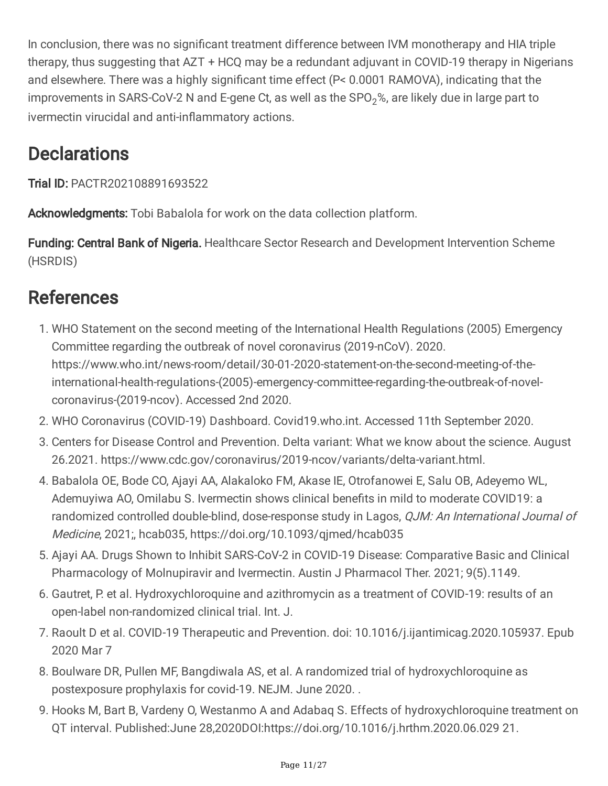In conclusion, there was no significant treatment difference between IVM monotherapy and HIA triple therapy, thus suggesting that AZT + HCQ may be a redundant adjuvant in COVID-19 therapy in Nigerians and elsewhere. There was a highly significant time effect (P< 0.0001 RAMOVA), indicating that the improvements in SARS-CoV-2 N and E-gene Ct, as well as the  $SPO<sub>2</sub>$ %, are likely due in large part to ivermectin virucidal and anti-inflammatory actions.

### **Declarations**

Trial ID: PACTR202108891693522

Acknowledgments: Tobi Babalola for work on the data collection platform.

**Funding: Central Bank of Nigeria.** Healthcare Sector Research and Development Intervention Scheme (HSRDIS)

### **References**

- 1. WHO Statement on the second meeting of the International Health Regulations (2005) Emergency Committee regarding the outbreak of novel coronavirus (2019-nCoV). 2020. https://www.who.int/news-room/detail/30-01-2020-statement-on-the-second-meeting-of-theinternational-health-regulations-(2005)-emergency-committee-regarding-the-outbreak-of-novelcoronavirus-(2019-ncov). Accessed 2nd 2020.
- 2. WHO Coronavirus (COVID-19) Dashboard. Covid19.who.int. Accessed 11th September 2020.
- 3. Centers for Disease Control and Prevention. Delta variant: What we know about the science. August 26.2021. https://www.cdc.gov/coronavirus/2019-ncov/variants/delta-variant.html.
- 4. Babalola OE, Bode CO, Ajayi AA, Alakaloko FM, Akase IE, Otrofanowei E, Salu OB, Adeyemo WL, Ademuyiwa AO, Omilabu S. Ivermectin shows clinical benefits in mild to moderate COVID19: a randomized controlled double-blind, dose-response study in Lagos, QJM: An International Journal of Medicine, 2021;, hcab035, https://doi.org/10.1093/qjmed/hcab035
- 5. Ajayi AA. Drugs Shown to Inhibit SARS-CoV-2 in COVID-19 Disease: Comparative Basic and Clinical Pharmacology of Molnupiravir and Ivermectin. Austin J Pharmacol Ther. 2021; 9(5).1149.
- 6. Gautret, P. et al. Hydroxychloroquine and azithromycin as a treatment of COVID-19: results of an open-label non-randomized clinical trial. Int. J.
- 7. Raoult D et al. COVID-19 Therapeutic and Prevention. doi: 10.1016/j.ijantimicag.2020.105937. Epub 2020 Mar 7
- 8. Boulware DR, Pullen MF, Bangdiwala AS, et al. A randomized trial of hydroxychloroquine as postexposure prophylaxis for covid-19. NEJM. June 2020. .
- 9. Hooks M, Bart B, Vardeny O, Westanmo A and Adabaq S. Effects of hydroxychloroquine treatment on QT interval. Published:June 28,2020DOI:https://doi.org/10.1016/j.hrthm.2020.06.029 21.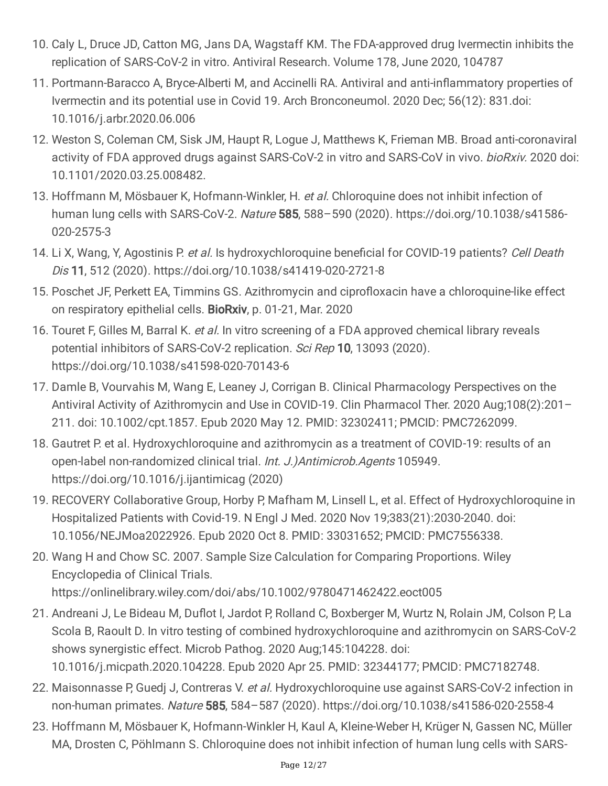- 10. Caly L, Druce JD, Catton MG, Jans DA, Wagstaff KM. The FDA-approved drug Ivermectin inhibits the replication of SARS-CoV-2 in vitro. Antiviral Research. Volume 178, June 2020, 104787
- 11. Portmann-Baracco A, Bryce-Alberti M, and Accinelli RA. Antiviral and anti-inflammatory properties of Ivermectin and its potential use in Covid 19. Arch Bronconeumol. 2020 Dec; 56(12): 831.doi: 10.1016/j.arbr.2020.06.006
- 12. Weston S, Coleman CM, Sisk JM, Haupt R, Logue J, Matthews K, Frieman MB. Broad anti-coronaviral activity of FDA approved drugs against SARS-CoV-2 in vitro and SARS-CoV in vivo. *bioRxiv.* 2020 doi: 10.1101/2020.03.25.008482.
- 13. Hoffmann M, Mösbauer K, Hofmann-Winkler, H. et al. Chloroquine does not inhibit infection of human lung cells with SARS-CoV-2. Nature 585, 588-590 (2020). https://doi.org/10.1038/s41586-020-2575-3
- 14. Li X, Wang, Y, Agostinis P. et al. Is hydroxychloroquine beneficial for COVID-19 patients? Cell Death Dis 11, 512 (2020). https://doi.org/10.1038/s41419-020-2721-8
- 15. Poschet JF, Perkett EA, Timmins GS. Azithromycin and ciprofloxacin have a chloroquine-like effect on respiratory epithelial cells. BioRxiv, p. 01-21, Mar. 2020
- 16. Touret F, Gilles M, Barral K, et al. In vitro screening of a FDA approved chemical library reveals potential inhibitors of SARS-CoV-2 replication. Sci Rep 10, 13093 (2020). https://doi.org/10.1038/s41598-020-70143-6
- 17. Damle B, Vourvahis M, Wang E, Leaney J, Corrigan B. Clinical Pharmacology Perspectives on the Antiviral Activity of Azithromycin and Use in COVID-19. Clin Pharmacol Ther. 2020 Aug;108(2):201– 211. doi: 10.1002/cpt.1857. Epub 2020 May 12. PMID: 32302411; PMCID: PMC7262099.
- 18. Gautret P. et al. Hydroxychloroquine and azithromycin as a treatment of COVID-19: results of an open-label non-randomized clinical trial. Int. J.)Antimicrob.Agents 105949. https://doi.org/10.1016/j.ijantimicag (2020)
- 19. RECOVERY Collaborative Group, Horby P, Mafham M, Linsell L, et al. Effect of Hydroxychloroquine in Hospitalized Patients with Covid-19. N Engl J Med. 2020 Nov 19;383(21):2030-2040. doi: 10.1056/NEJMoa2022926. Epub 2020 Oct 8. PMID: 33031652; PMCID: PMC7556338.
- 20. Wang H and Chow SC. 2007. Sample Size Calculation for Comparing Proportions. Wiley Encyclopedia of Clinical Trials. https://onlinelibrary.wiley.com/doi/abs/10.1002/9780471462422.eoct005
- 21. Andreani J, Le Bideau M, Duflot I, Jardot P, Rolland C, Boxberger M, Wurtz N, Rolain JM, Colson P, La Scola B, Raoult D. In vitro testing of combined hydroxychloroquine and azithromycin on SARS-CoV-2 shows synergistic effect. Microb Pathog. 2020 Aug;145:104228. doi: 10.1016/j.micpath.2020.104228. Epub 2020 Apr 25. PMID: 32344177; PMCID: PMC7182748.
- 22. Maisonnasse P, Guedj J, Contreras V. et al. Hydroxychloroquine use against SARS-CoV-2 infection in non-human primates. Nature 585, 584–587 (2020). https://doi.org/10.1038/s41586-020-2558-4
- 23. Hoffmann M, Mösbauer K, Hofmann-Winkler H, Kaul A, Kleine-Weber H, Krüger N, Gassen NC, Müller MA, Drosten C, Pöhlmann S. Chloroquine does not inhibit infection of human lung cells with SARS-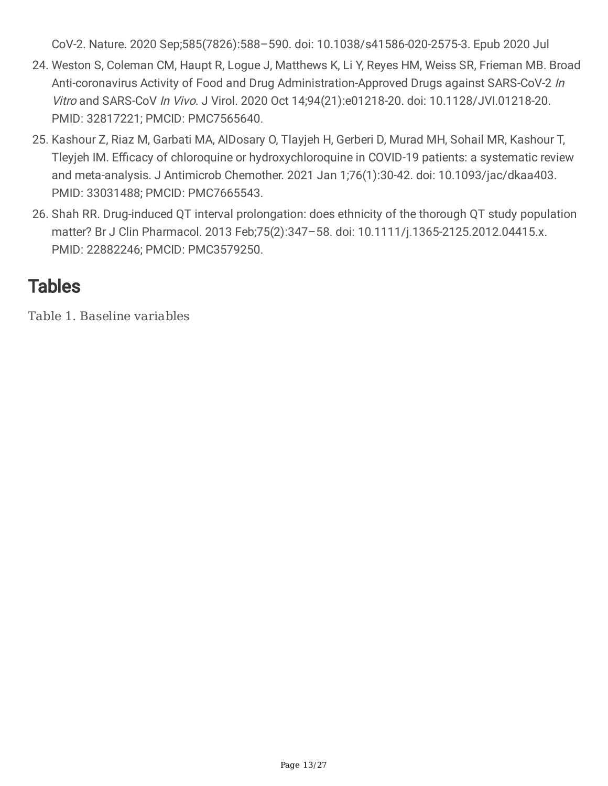CoV-2. Nature. 2020 Sep;585(7826):588–590. doi: 10.1038/s41586-020-2575-3. Epub 2020 Jul

- 24. Weston S, Coleman CM, Haupt R, Logue J, Matthews K, Li Y, Reyes HM, Weiss SR, Frieman MB. Broad Anti-coronavirus Activity of Food and Drug Administration-Approved Drugs against SARS-CoV-2 In Vitro and SARS-CoV In Vivo. J Virol. 2020 Oct 14;94(21):e01218-20. doi: 10.1128/JVI.01218-20. PMID: 32817221; PMCID: PMC7565640.
- 25. Kashour Z, Riaz M, Garbati MA, AlDosary O, Tlayjeh H, Gerberi D, Murad MH, Sohail MR, Kashour T, Tleyjeh IM. Efficacy of chloroquine or hydroxychloroquine in COVID-19 patients: a systematic review and meta-analysis. J Antimicrob Chemother. 2021 Jan 1;76(1):30-42. doi: 10.1093/jac/dkaa403. PMID: 33031488; PMCID: PMC7665543.
- 26. Shah RR. Drug-induced QT interval prolongation: does ethnicity of the thorough QT study population matter? Br J Clin Pharmacol. 2013 Feb;75(2):347–58. doi: 10.1111/j.1365-2125.2012.04415.x. PMID: 22882246; PMCID: PMC3579250.

### **Tables**

Table 1. Baseline variables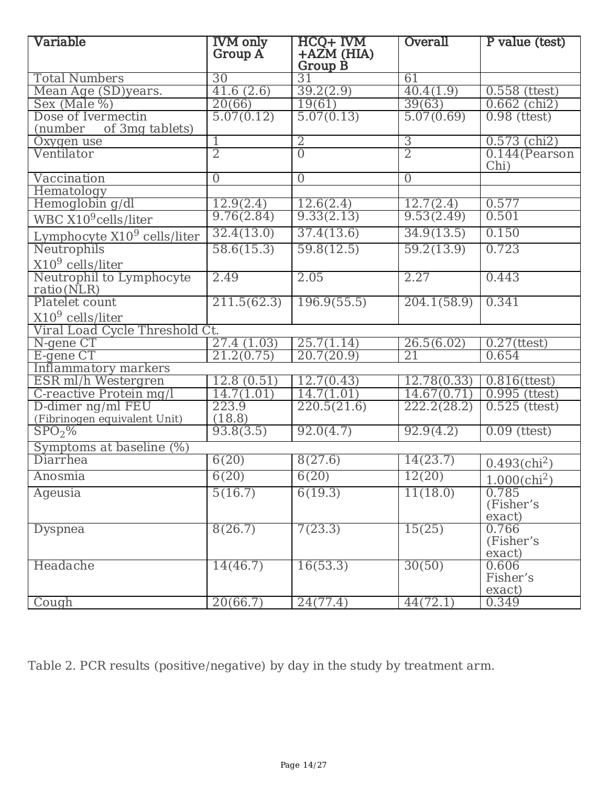| Variable                               | <b>IVM</b> only<br>Group A | HCQ+ IVM<br>$+AZM$ (HIA) | Overall             | P value (test)              |
|----------------------------------------|----------------------------|--------------------------|---------------------|-----------------------------|
|                                        |                            | Group B                  |                     |                             |
| <b>Total Numbers</b>                   | 30                         | 31                       | 61                  |                             |
| Mean Age (SD)years.                    | 41.6(2.6)                  | 39.2(2.9)                | 40.4(1.9)           | $0.558$ (ttest)             |
| Sex (Male %)                           | 20(66)                     | 19(61)                   | 39(63)              | $0.662$ (chi <sub>2</sub> ) |
| Dose of Ivermectin                     | 5.07(0.12)                 | 5.07(0.13)               | 5.07(0.69)          | $0.98$ (ttest)              |
| of 3mg tablets)<br>(number             |                            |                          |                     |                             |
| Oxygen use                             | 1                          | 2                        | 3<br>$\overline{2}$ | $0.573$ (chi <sub>2</sub> ) |
| Ventilator                             | 2                          | $\overline{0}$           |                     | $0.144$ (Pearson<br>Chi)    |
| Vaccination                            | $\overline{0}$             | $\overline{0}$           | $\overline{0}$      |                             |
| Hematology                             |                            |                          |                     |                             |
| Hemoglobin g/dl                        | 12.9(2.4)                  | 12.6(2.4)                | 12.7(2.4)           | 0.577                       |
| WBC $X10^9$ cells/liter                | 9.76(2.84)                 | 9.33(2.13)               | 9.53(2.49)          | 0.501                       |
| Lymphocyte $X109$ cells/liter          | 32.4(13.0)                 | 37.4(13.6)               | 34.9(13.5)          | 0.150                       |
| Neutrophils                            | 58.6(15.3)                 | 59.8(12.5)               | 59.2(13.9)          | 0.723                       |
| $X109$ cells/liter                     |                            |                          |                     |                             |
| Neutrophil to Lymphocyte<br>ratio(NLR) | 2.49                       | 2.05                     | 2.27                | 0.443                       |
| Platelet count                         | 211.5(62.3)                | 196.9(55.5)              | 204.1(58.9)         | 0.341                       |
| $X109$ cells/liter                     |                            |                          |                     |                             |
| Viral Load Cycle Threshold Ct.         |                            |                          |                     |                             |
| N-gene CT                              | 27.4 $(1.03)$              | 25.7(1.14)               | 26.5(6.02)          | $0.27$ (ttest)              |
| E-gene CT                              | 21.2(0.75)                 | 20.7(20.9)               | 21                  | 0.654                       |
| Inflammatory markers                   |                            |                          |                     |                             |
| ESR ml/h Westergren                    | $12.\overline{8}$ $(0.51)$ | 12.7(0.43)               | 12.78(0.33)         | $0.816$ (ttest)             |
| C-reactive Protein mg/l                | 14.7(1.01)                 | 14.7(1.01)               | 14.67(0.71)         | $0.995$ (ttest)             |
| D-dimer ng/ml FEU                      | 223.9                      | 220.5(21.6)              | 222.2(28.2)         | $0.525$ (ttest)             |
| (Fibrinogen equivalent Unit)           | (18.8)                     |                          |                     |                             |
| SPO <sub>2</sub> %                     | 93.8(3.5)                  | 92.0(4.7)                | 92.9(4.2)           | $0.09$ (ttest)              |
| Symptoms at baseline (%)               |                            |                          |                     |                             |
| Diarrhea                               | 6(20)                      | 8(27.6)                  | 14(23.7)            | $0.493$ (chi <sup>2</sup> ) |
| Anosmia                                | 6(20)                      | 6(20)                    | 12(20)              | $1.000$ (chi <sup>2</sup> ) |
| Ageusia                                | 5(16.7)                    | 6(19.3)                  | 11(18.0)            | 0.785<br>(Fisher's          |
|                                        |                            |                          |                     | exact)                      |
| Dyspnea                                | 8(26.7)                    | 7(23.3)                  | 15(25)              | 0.766<br>(Fisher's          |
|                                        |                            |                          |                     | exact)                      |
| Headache                               | 14(46.7)                   | 16(53.3)                 | 30(50)              | 0.606<br>Fisher's           |
|                                        |                            |                          |                     | exact)                      |
| Cough                                  | 20(66.7)                   | 24(77.4)                 | 44(72.1)            | 0.349                       |

Table 2. PCR results (positive/negative) by day in the study by treatment arm.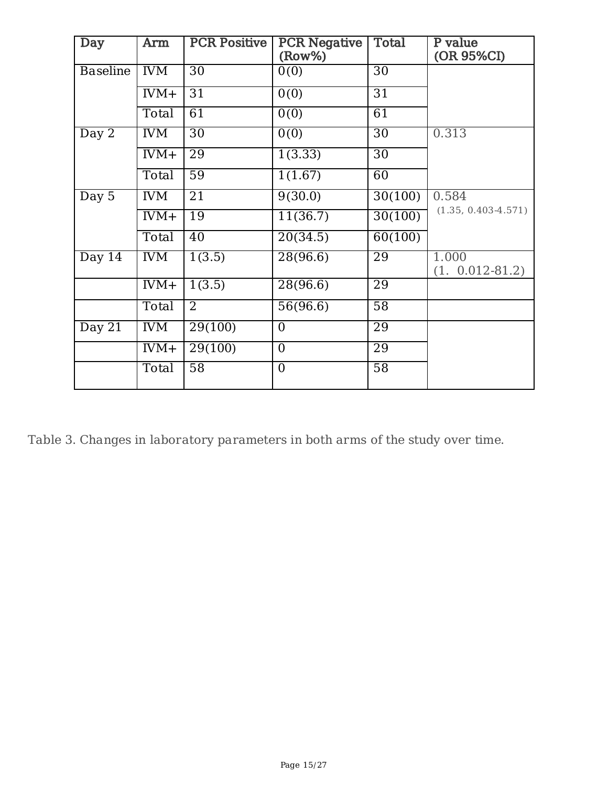| Day                         | Arm        | <b>PCR Positive</b> | <b>PCR Negative</b><br>$(Row\%)$ | <b>Total</b>    | P value<br>(OR 95%CI)        |
|-----------------------------|------------|---------------------|----------------------------------|-----------------|------------------------------|
| <b>Baseline</b>             | <b>IVM</b> | $\overline{30}$     | $\overline{0(0)}$                | $\overline{30}$ |                              |
|                             | $IVM+$     | 31                  | $\overline{0(0)}$                | 31              |                              |
|                             | Total      | 61                  | $\overline{0(0)}$                | 61              |                              |
| $\overline{\mathrm{Day} 2}$ | <b>IVM</b> | $\overline{30}$     | $\overline{0(0)}$                | $\overline{30}$ | 0.313                        |
|                             | $IVM+$     | 29                  | 1(3.33)                          | 30              |                              |
|                             | Total      | $\overline{59}$     | 1(1.67)                          | 60              |                              |
| Day $5$                     | <b>IVM</b> | $\overline{21}$     | 9(30.0)                          | 30(100)         | 0.584                        |
|                             | $IVM+$     | 19                  | 11(36.7)                         | 30(100)         | $(1.35, 0.403 - 4.571)$      |
|                             | Total      | 40                  | 20(34.5)                         | 60(100)         |                              |
| Day 14                      | <b>IVM</b> | 1(3.5)              | 28(96.6)                         | 29              | 1.000<br>$(1. 0.012 - 81.2)$ |
|                             | $IVM+$     | 1(3.5)              | 28(96.6)                         | 29              |                              |
|                             | Total      | 2                   | 56(96.6)                         | $\overline{58}$ |                              |
| Day 21                      | <b>IVM</b> | 29(100)             | $\overline{0}$                   | 29              |                              |
|                             | $IVM+$     | 29(100)             | $\overline{0}$                   | 29              |                              |
|                             | Total      | 58                  | $\overline{0}$                   | $\overline{58}$ |                              |

Table 3. Changes in laboratory parameters in both arms of the study over time.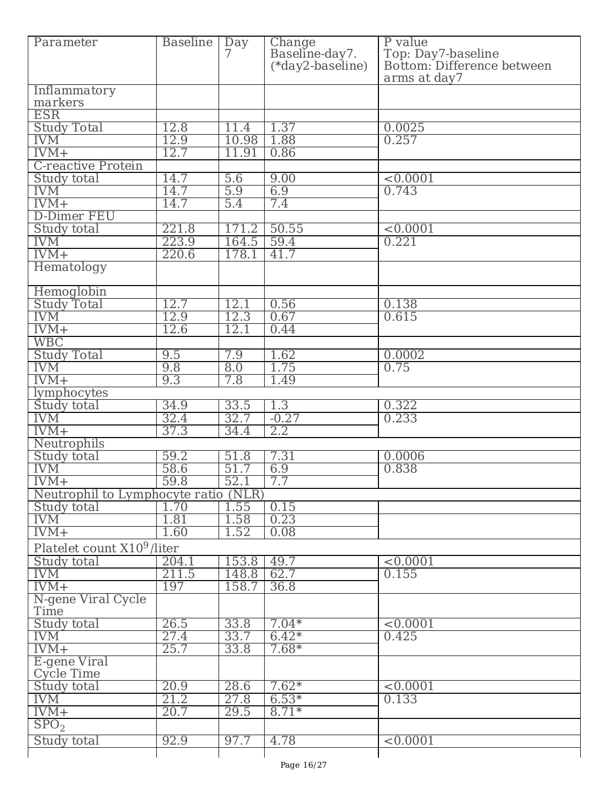| Parameter                            | <b>Baseline</b> | $\overline{Day}$<br>7 | Change<br>Baseline-day7. | P value                                          |
|--------------------------------------|-----------------|-----------------------|--------------------------|--------------------------------------------------|
|                                      |                 |                       | (*day2-baseline)         | Top: Day7-baseline<br>Bottom: Difference between |
|                                      |                 |                       |                          | arms at day7                                     |
| Inflammatory                         |                 |                       |                          |                                                  |
| markers                              |                 |                       |                          |                                                  |
| <b>ESR</b>                           |                 |                       |                          |                                                  |
| <b>Study Total</b>                   | 12.8            | 11.4                  | 1.37                     | 0.0025                                           |
| <b>IVM</b>                           | 12.9            | 10.98                 | 1.88                     | 0.257                                            |
| $IVM+$                               | 12.7            | 11.91                 | 0.86                     |                                                  |
| C-reactive Protein                   |                 |                       |                          |                                                  |
| Study total                          | 14.7            | 5.6                   | 9.00                     | < 0.0001                                         |
| <b>IVM</b>                           | 14.7            | 5.9                   | 6.9                      | 0.743                                            |
| $IVM+$                               | 14.7            | 5.4                   | 7.4                      |                                                  |
| <b>D-Dimer FEU</b>                   |                 |                       |                          |                                                  |
| Study total                          | 221.8           | 171.2                 | 50.55                    | < 0.0001                                         |
| <b>IVM</b>                           | 223.9           | 164.5                 | 59.4                     | 0.221                                            |
| $IVM+$                               | 220.6           | 178.1                 | 41.7                     |                                                  |
| Hematology                           |                 |                       |                          |                                                  |
| Hemoglobin                           |                 |                       |                          |                                                  |
| <b>Study Total</b>                   | 12.7            | 12.1                  | 0.56                     | 0.138                                            |
| <b>IVM</b>                           | 12.9            | 12.3                  | 0.67                     | 0.615                                            |
| $IVM+$                               | 12.6            | 12.1                  | 0.44                     |                                                  |
| <b>WBC</b>                           |                 |                       |                          |                                                  |
| <b>Study Total</b>                   | 9.5             | 7.9                   | 1.62                     | 0.0002                                           |
| <b>IVM</b>                           | 9.8             | 8.0                   | 1.75                     | 0.75                                             |
| $IVM+$                               | 9.3             | 7.8                   | 1.49                     |                                                  |
| lymphocytes                          |                 |                       |                          |                                                  |
| Study total                          | 34.9            | 33.5                  | 1.3                      | 0.322                                            |
| <b>IVM</b>                           | 32.4            | 32.7                  | $-0.27$                  | 0.233                                            |
| $IVM+$                               | 37.3            | 34.4                  | 2.2                      |                                                  |
| Neutrophils                          |                 |                       |                          |                                                  |
| Study total                          | 59.2            | 51.8                  | 7.31                     | 0.0006                                           |
| <b>IVM</b>                           | 58.6            | 51.7                  | 6.9                      | 0.838                                            |
| $IVM+$                               | 59.8            | 52.1                  | 7.7                      |                                                  |
| Neutrophil to Lymphocyte ratio (NLR) |                 |                       |                          |                                                  |
| Study total                          | 1.70            | 1.55                  | 0.15                     |                                                  |
| <b>IVM</b>                           | 1.81            | 1.58                  | 0.23                     |                                                  |
| $IVM+$                               | 1.60            | 1.52                  | 0.08                     |                                                  |
| Platelet count $X10^9$ /liter        |                 |                       |                          |                                                  |
| Study total                          | 204.1           | 153.8                 | 49.7                     | < 0.0001                                         |
| <b>IVM</b>                           | 211.5           | 148.8                 | 62.7                     | 0.155                                            |
| $IVM+$                               | 197             | 158.7                 | 36.8                     |                                                  |
| N-gene Viral Cycle                   |                 |                       |                          |                                                  |
| Time                                 |                 |                       |                          |                                                  |
| Study total                          | 26.5            | 33.8                  | $7.04*$                  | < 0.0001                                         |
| <b>IVM</b>                           | 27.4            | 33.7                  | $6.42*$                  | 0.425                                            |
| $IVM+$                               | 25.7            | 33.8                  | $7.68*$                  |                                                  |
| E-gene Viral<br>Cycle Time           |                 |                       |                          |                                                  |
| Study total                          | 20.9            | 28.6                  | $7.62*$                  | < 0.0001                                         |
| <b>IVM</b>                           | 21.2            | 27.8                  | $6.53*$                  | 0.133                                            |
| $IVM+$                               | 20.7            | 29.5                  | $8.71*$                  |                                                  |
| SPO <sub>2</sub>                     |                 |                       |                          |                                                  |
| Study total                          | 92.9            | 97.7                  | 4.78                     | $\leq 0.0001$                                    |
|                                      |                 |                       |                          |                                                  |
|                                      |                 |                       |                          |                                                  |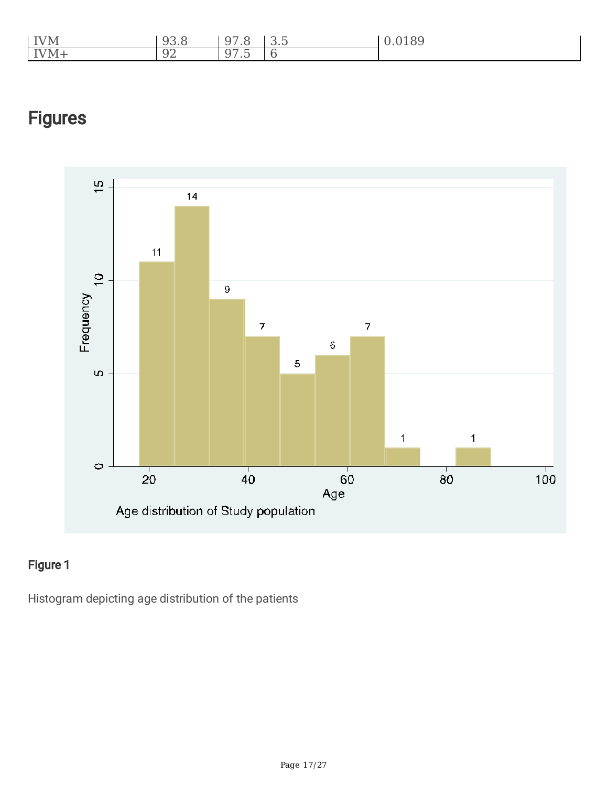| <b>IVM</b>                        | $\cap$<br>◡<br>$\overline{\phantom{a}}$ | $\cap$<br>-u<br>$\cdot$ $\circ$<br>ັ              | $\sim$ $-$<br>$\overline{\phantom{a}}$<br>◡.◡ | $\circ$ $\circ$ |
|-----------------------------------|-----------------------------------------|---------------------------------------------------|-----------------------------------------------|-----------------|
| $\overline{\text{V}}\text{M}_{+}$ | Ω٢<br>◡<br>◡▵                           | $-$<br>--<br>- G<br>$\overline{\phantom{a}}$<br>ັ |                                               |                 |



### Figure 1

Histogram depicting age distribution of the patients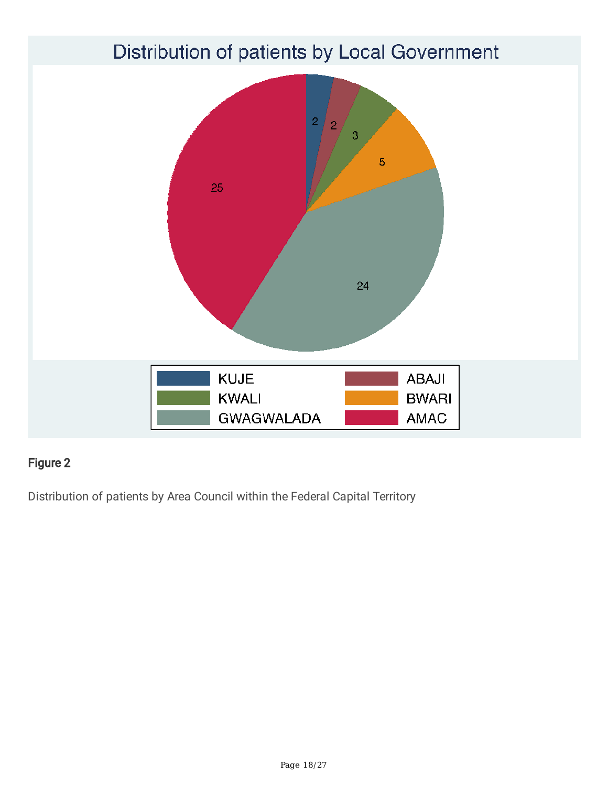

Distribution of patients by Area Council within the Federal Capital Territory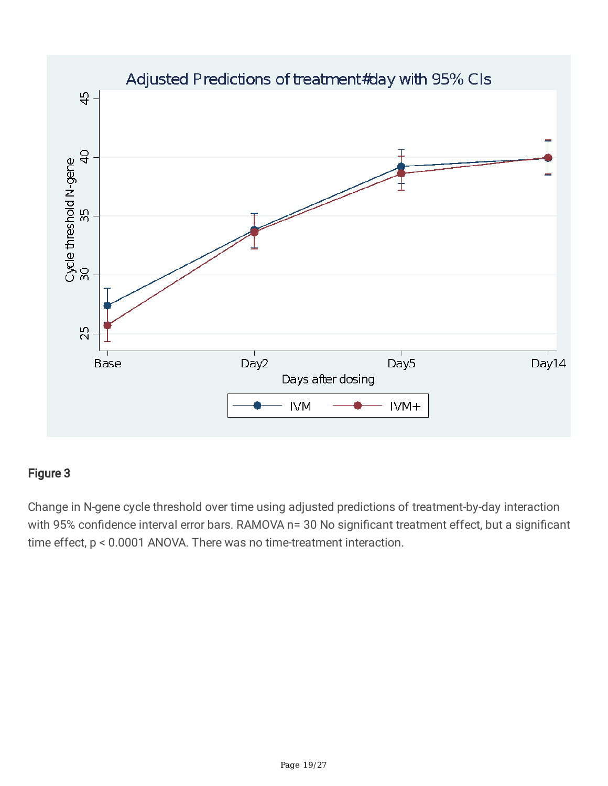

Change in N-gene cycle threshold over time using adjusted predictions of treatment-by-day interaction with 95% confidence interval error bars. RAMOVA n= 30 No significant treatment effect, but a significant time effect, p < 0.0001 ANOVA. There was no time-treatment interaction.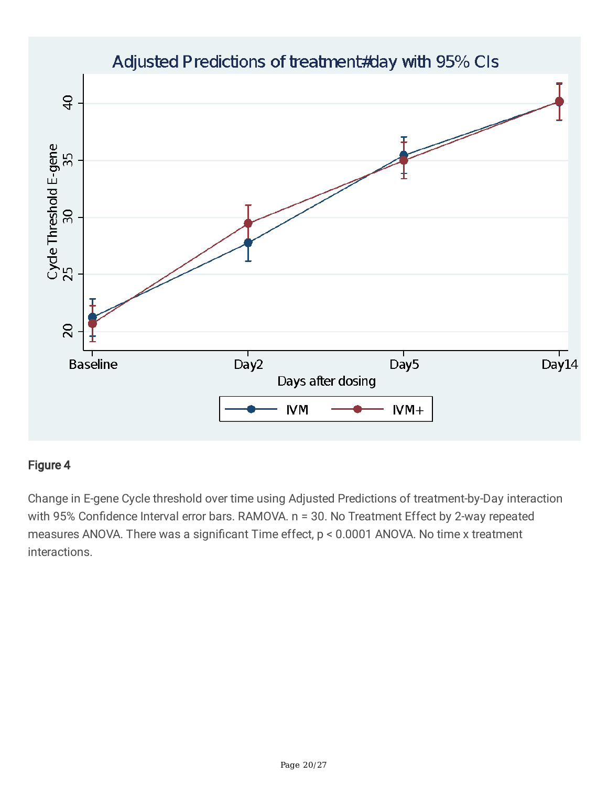

Change in E-gene Cycle threshold over time using Adjusted Predictions of treatment-by-Day interaction with 95% Confidence Interval error bars. RAMOVA. n = 30. No Treatment Effect by 2-way repeated measures ANOVA. There was a significant Time effect, p < 0.0001 ANOVA. No time x treatment interactions.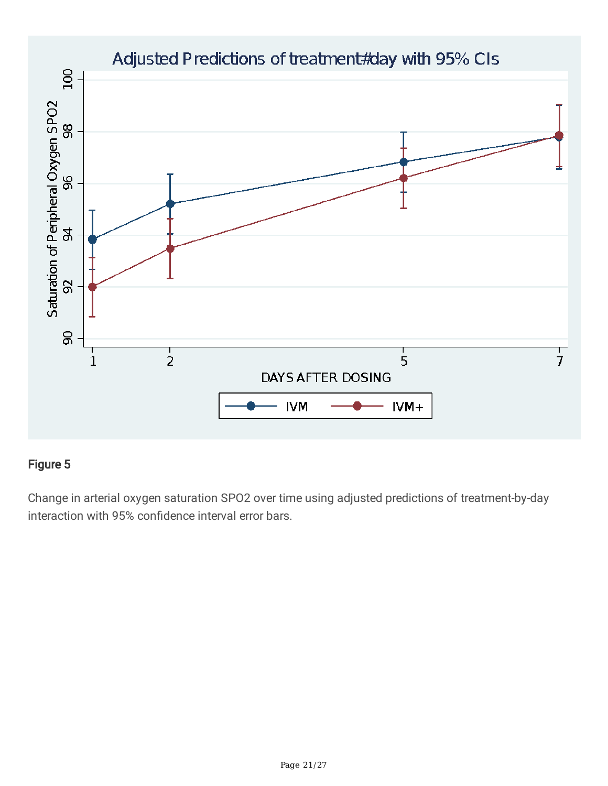

Change in arterial oxygen saturation SPO2 over time using adjusted predictions of treatment-by-day interaction with 95% confidence interval error bars.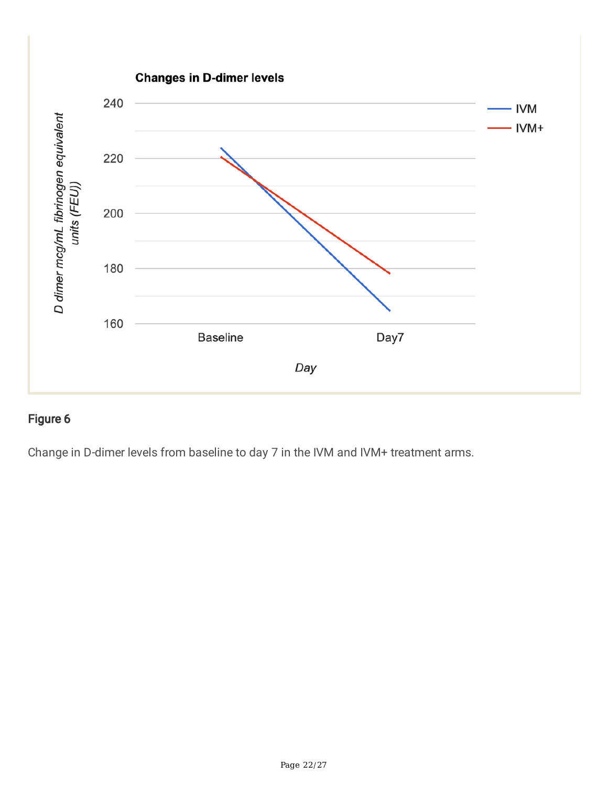

Change in D-dimer levels from baseline to day 7 in the IVM and IVM+ treatment arms.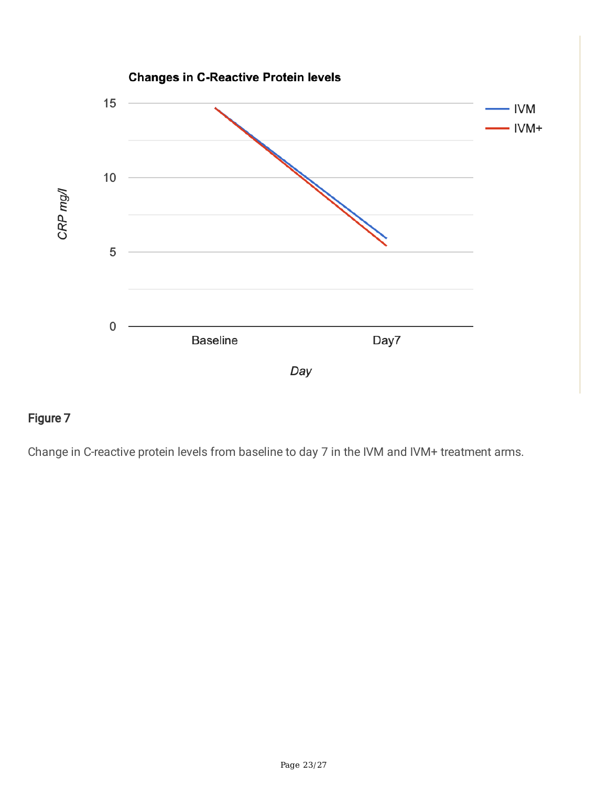

Change in C-reactive protein levels from baseline to day 7 in the IVM and IVM+ treatment arms.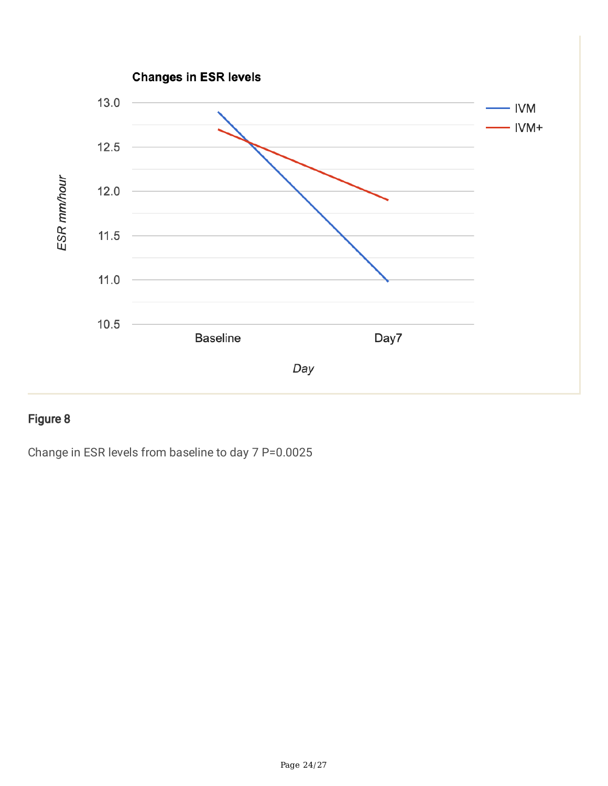

Change in ESR levels from baseline to day 7 P=0.0025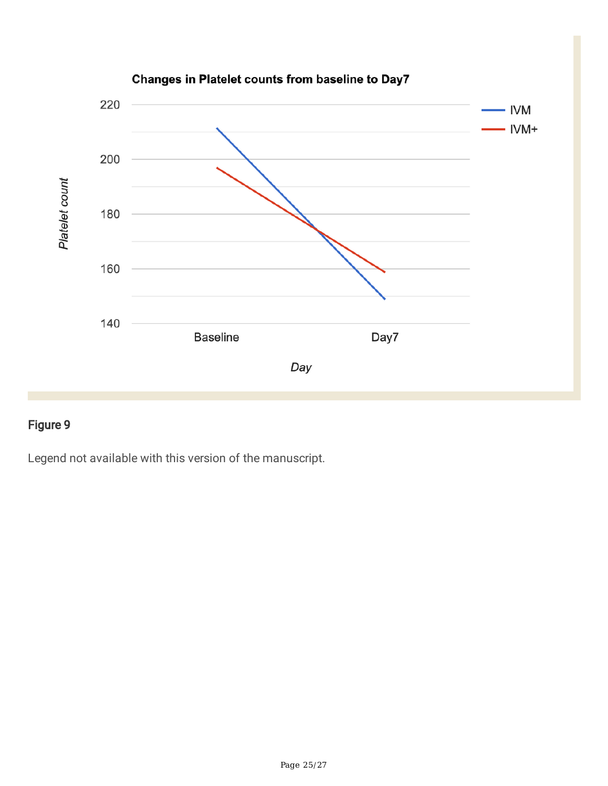

Legend not available with this version of the manuscript.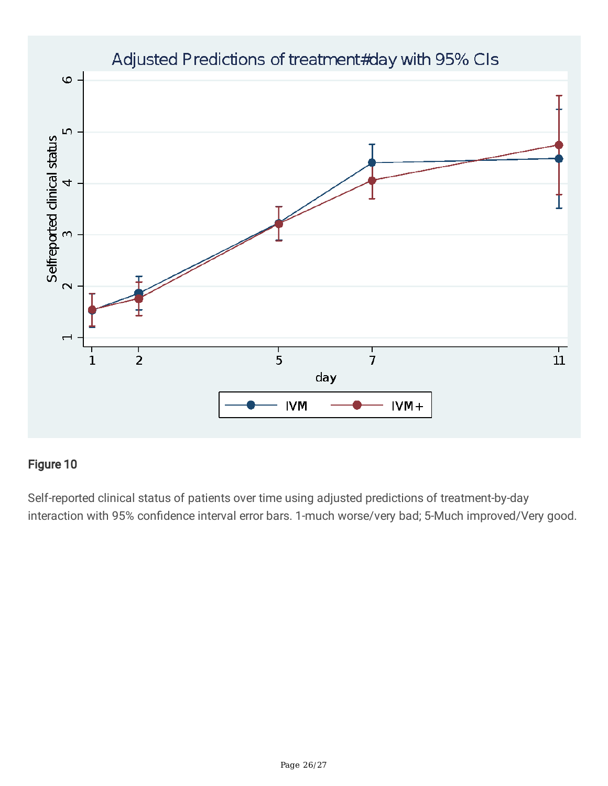

Self-reported clinical status of patients over time using adjusted predictions of treatment-by-day interaction with 95% confidence interval error bars. 1-much worse/very bad; 5-Much improved/Very good.